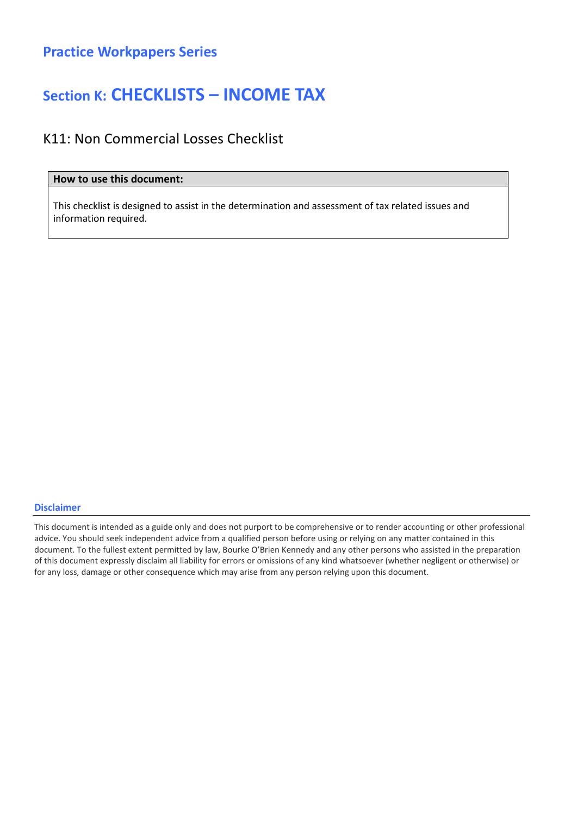## Section K: CHECKLISTS – INCOME TAX

### K11: Non Commercial Losses Checklist

### How to use this document:

This checklist is designed to assist in the determination and assessment of tax related issues and information required.

#### Disclaimer

This document is intended as a guide only and does not purport to be comprehensive or to render accounting or other professional advice. You should seek independent advice from a qualified person before using or relying on any matter contained in this document. To the fullest extent permitted by law, Bourke O'Brien Kennedy and any other persons who assisted in the preparation of this document expressly disclaim all liability for errors or omissions of any kind whatsoever (whether negligent or otherwise) or for any loss, damage or other consequence which may arise from any person relying upon this document.